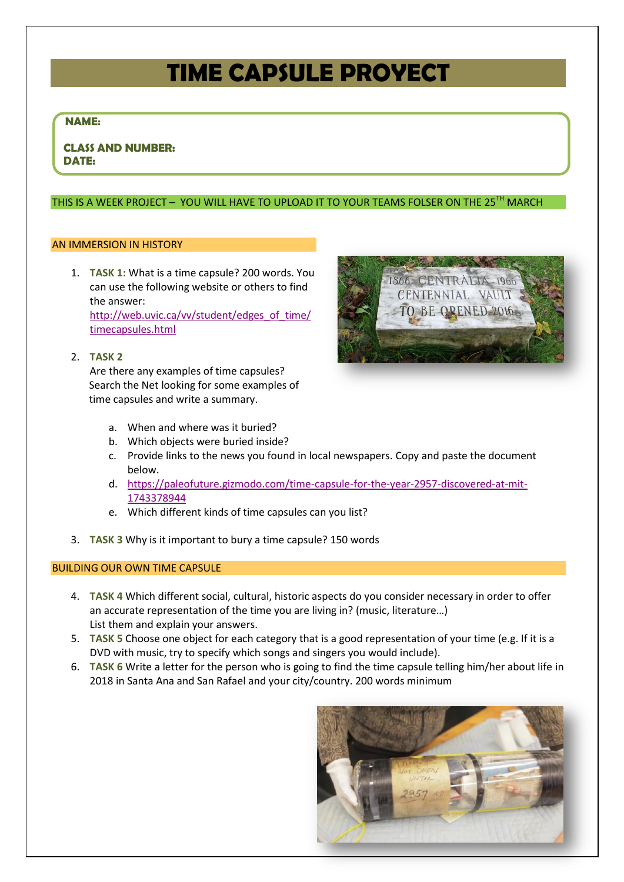# **TIME CAPSULE PROYECT**

## **NAME:**

 **CLASS AND NUMBER: DATE:**

## THIS IS A WEEK PROJECT - YOU WILL HAVE TO UPLOAD IT TO YOUR TEAMS FOLSER ON THE 25<sup>TH</sup> MARCH

#### AN IMMERSION IN HISTORY

1. **TASK 1:** What is a time capsule? 200 words. You can use the following website or others to find the answer: [http://web.uvic.ca/vv/student/edges\\_of\\_time/](http://web.uvic.ca/vv/student/edges_of_time/timecapsules.html) [timecapsules.html](http://web.uvic.ca/vv/student/edges_of_time/timecapsules.html)

## 2. **TASK 2**

Are there any examples of time capsules? Search the Net looking for some examples of time capsules and write a summary.



- a. When and where was it buried?
- b. Which objects were buried inside?
- c. Provide links to the news you found in local newspapers. Copy and paste the document below.
- d. [https://paleofuture.gizmodo.com/time-capsule-for-the-year-2957-discovered-at-mit-](https://paleofuture.gizmodo.com/time-capsule-for-the-year-2957-discovered-at-mit-1743378944)[1743378944](https://paleofuture.gizmodo.com/time-capsule-for-the-year-2957-discovered-at-mit-1743378944)
- e. Which different kinds of time capsules can you list?
- 3. **TASK 3** Why is it important to bury a time capsule? 150 words

#### BUILDING OUR OWN TIME CAPSULE

- 4. **TASK 4** Which different social, cultural, historic aspects do you consider necessary in order to offer an accurate representation of the time you are living in? (music, literature…) List them and explain your answers.
- 5. **TASK 5** Choose one object for each category that is a good representation of your time (e.g. If it is a DVD with music, try to specify which songs and singers you would include).
- 6. **TASK 6** Write a letter for the person who is going to find the time capsule telling him/her about life in 2018 in Santa Ana and San Rafael and your city/country. 200 words minimum